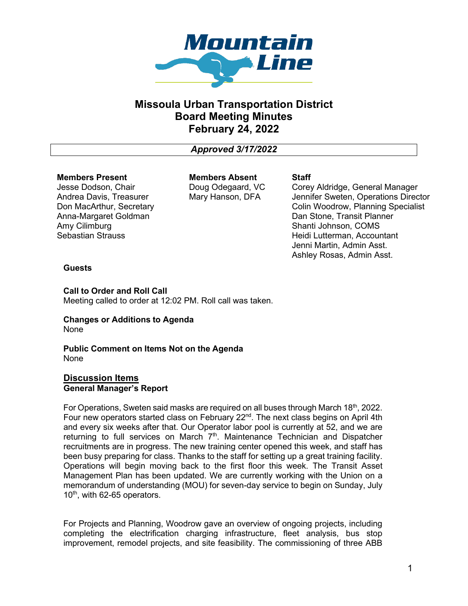

# **Missoula Urban Transportation District Board Meeting Minutes February 24, 2022**

*Approved 3/17/2022*

## **Members Present**

Jesse Dodson, Chair Andrea Davis, Treasurer Don MacArthur, Secretary Anna-Margaret Goldman Amy Cilimburg Sebastian Strauss

**Members Absent** Doug Odegaard, VC Mary Hanson, DFA

## **Staff**

Corey Aldridge, General Manager Jennifer Sweten, Operations Director Colin Woodrow, Planning Specialist Dan Stone, Transit Planner Shanti Johnson, COMS Heidi Lutterman, Accountant Jenni Martin, Admin Asst. Ashley Rosas, Admin Asst.

# **Guests**

**Call to Order and Roll Call**  Meeting called to order at 12:02 PM. Roll call was taken.

## **Changes or Additions to Agenda** None

**Public Comment on Items Not on the Agenda** None

# **Discussion Items General Manager's Report**

For Operations, Sweten said masks are required on all buses through March 18th, 2022. Four new operators started class on February  $22<sup>nd</sup>$ . The next class begins on April 4th and every six weeks after that. Our Operator labor pool is currently at 52, and we are returning to full services on March 7<sup>th</sup>. Maintenance Technician and Dispatcher recruitments are in progress. The new training center opened this week, and staff has been busy preparing for class. Thanks to the staff for setting up a great training facility. Operations will begin moving back to the first floor this week. The Transit Asset Management Plan has been updated. We are currently working with the Union on a memorandum of understanding (MOU) for seven-day service to begin on Sunday, July  $10<sup>th</sup>$ , with 62-65 operators.

For Projects and Planning, Woodrow gave an overview of ongoing projects, including completing the electrification charging infrastructure, fleet analysis, bus stop improvement, remodel projects, and site feasibility. The commissioning of three ABB